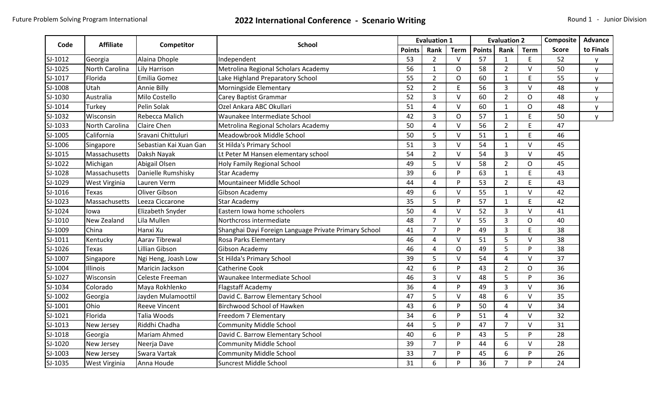## Future Problem Solving Program International **2022 International Conference - Scenario Writing** Round 1 - Junior Division

| Code    |                  |                        |                                                       |               | <b>Evaluation 1</b> |                | <b>Evaluation 2</b> |                |                | Composite    | Advance      |
|---------|------------------|------------------------|-------------------------------------------------------|---------------|---------------------|----------------|---------------------|----------------|----------------|--------------|--------------|
|         | <b>Affiliate</b> | Competitor             | <b>School</b>                                         | <b>Points</b> | Rank                | <b>Term</b>    | <b>Points</b>       | Rank           | <b>Term</b>    | <b>Score</b> | to Finals    |
| SJ-1012 | Georgia          | Alaina Dhople          | Independent                                           | 53            | $\overline{2}$      | $\vee$         | 57                  | $\mathbf{1}$   | E              | 52           | y            |
| SJ-1025 | North Carolina   | Lily Harrison          | Metrolina Regional Scholars Academy                   | 56            | $\mathbf{1}$        | $\circ$        | 58                  | $\overline{2}$ | $\vee$         | 50           | <b>y</b>     |
| SJ-1017 | Florida          | Emilia Gomez           | Lake Highland Preparatory School                      | 55            | $\overline{2}$      | O              | 60                  | $\mathbf{1}$   | E              | 55           | $\mathsf{V}$ |
| SJ-1008 | Utah             | Annie Billy            | Morningside Elementary                                | 52            | $\overline{2}$      | E              | 56                  | $\overline{3}$ | $\vee$         | 48           | $\mathsf{V}$ |
| SJ-1030 | Australia        | Milo Costello          | Carey Baptist Grammar                                 | 52            | 3                   | $\vee$         | 60                  | $\overline{2}$ | O              | 48           | V            |
| SJ-1014 | Turkey           | Pelin Solak            | Ozel Ankara ABC Okullari                              | 51            | $\overline{4}$      | $\vee$         | 60                  | $\mathbf{1}$   | $\overline{O}$ | 48           | <b>y</b>     |
| SJ-1032 | Wisconsin        | <b>Rebecca Malich</b>  | Waunakee Intermediate School                          | 42            | 3                   | O              | 57                  | $\mathbf{1}$   | E              | 50           | y            |
| SJ-1033 | North Carolina   | <b>Claire Chen</b>     | Metrolina Regional Scholars Academy                   | 50            | $\overline{4}$      | $\vee$         | 56                  | $\overline{2}$ | E              | 47           |              |
| SJ-1005 | California       | Sravani Chittuluri     | Meadowbrook Middle School                             | 50            | 5                   | $\vee$         | 51                  | $\mathbf{1}$   | E              | 46           |              |
| SJ-1006 | Singapore        | Sebastian Kai Xuan Gan | St Hilda's Primary School                             | 51            | $\overline{3}$      | $\vee$         | 54                  | $\mathbf{1}$   | $\vee$         | 45           |              |
| SJ-1015 | Massachusetts    | Daksh Nayak            | Lt Peter M Hansen elementary school                   | 54            | $\overline{2}$      | $\vee$         | 54                  | $\overline{3}$ | V              | 45           |              |
| SJ-1022 | Michigan         | Abigail Olsen          | <b>Holy Family Regional School</b>                    | 49            | 5                   | $\vee$         | 58                  | $\overline{2}$ | O              | 45           |              |
| SJ-1028 | Massachusetts    | Danielle Rumshisky     | <b>Star Academy</b>                                   | 39            | 6                   | P              | 63                  | $\mathbf{1}$   | E              | 43           |              |
| SJ-1029 | West Virginia    | Lauren Verm            | Mountaineer Middle School                             | 44            | $\overline{4}$      | P              | 53                  | $\overline{2}$ | E              | 43           |              |
| SJ-1016 | <b>Texas</b>     | Oliver Gibson          | Gibson Academy                                        | 49            | 6                   | $\vee$         | 55                  | $\mathbf{1}$   | V              | 42           |              |
| SJ-1023 | Massachusetts    | Leeza Ciccarone        | <b>Star Academy</b>                                   | 35            | 5                   | P              | 57                  | $\mathbf{1}$   | E              | 42           |              |
| SJ-1024 | lowa             | Elizabeth Snyder       | Eastern Iowa home schoolers                           | 50            | 4                   | $\vee$         | 52                  | 3              | V              | 41           |              |
| SJ-1010 | New Zealand      | Lila Mullen            | Northcross intermediate                               | 48            | $\overline{7}$      | $\vee$         | 55                  | $\overline{3}$ | O              | 40           |              |
| SJ-1009 | China            | Hanxi Xu               | Shanghai Dayi Foreign Language Private Primary School | 41            | $\overline{7}$      | P              | 49                  | $\overline{3}$ | E              | 38           |              |
| SJ-1011 | Kentucky         | Aarav Tibrewal         | Rosa Parks Elementary                                 | 46            | $\overline{4}$      | $\vee$         | 51                  | 5              | $\vee$         | 38           |              |
| SJ-1026 | Texas            | Lillian Gibson         | Gibson Academy                                        | 46            | 4                   | $\overline{O}$ | 49                  | 5              | P              | 38           |              |
| SJ-1007 | Singapore        | Ngi Heng, Joash Low    | St Hilda's Primary School                             | 39            | 5                   | $\vee$         | 54                  | $\overline{4}$ | V              | 37           |              |
| SJ-1004 | Illinois         | Maricin Jackson        | Catherine Cook                                        | 42            | 6                   | P              | 43                  | $\overline{2}$ | O              | 36           |              |
| SJ-1027 | Wisconsin        | Celeste Freeman        | Waunakee Intermediate School                          | 46            | $\overline{3}$      | $\vee$         | 48                  | 5              | P              | 36           |              |
| SJ-1034 | Colorado         | Maya Rokhlenko         | <b>Flagstaff Academy</b>                              | 36            | 4                   | P              | 49                  | $\overline{3}$ | V              | 36           |              |
| SJ-1002 | Georgia          | Jayden Mulamoottil     | David C. Barrow Elementary School                     | 47            | 5                   | $\vee$         | 48                  | 6              | V              | 35           |              |
| SJ-1001 | Ohio             | <b>Reeve Vincent</b>   | Birchwood School of Hawken                            | 43            | 6                   | P              | 50                  | 4              | V              | 34           |              |
| SJ-1021 | Florida          | Talia Woods            | Freedom 7 Elementary                                  | 34            | 6                   | P              | 51                  | $\overline{4}$ | V              | 32           |              |
| SJ-1013 | New Jersey       | Riddhi Chadha          | <b>Community Middle School</b>                        | 44            | 5                   | P              | 47                  | $\overline{7}$ | $\vee$         | 31           |              |
| SJ-1018 | Georgia          | Mariam Ahmed           | David C. Barrow Elementary School                     | 40            | 6                   | P              | 43                  | 5              | P              | 28           |              |
| SJ-1020 | New Jersey       | Neerja Dave            | <b>Community Middle School</b>                        | 39            | $\overline{7}$      | P              | 44                  | 6              | V              | 28           |              |
| SJ-1003 | New Jersey       | Swara Vartak           | <b>Community Middle School</b>                        | 33            | $\overline{7}$      | P              | 45                  | 6              | P              | 26           |              |
| SJ-1035 | West Virginia    | Anna Houde             | Suncrest Middle School                                | 31            | 6                   | P              | 36                  | $\overline{7}$ | P              | 24           |              |